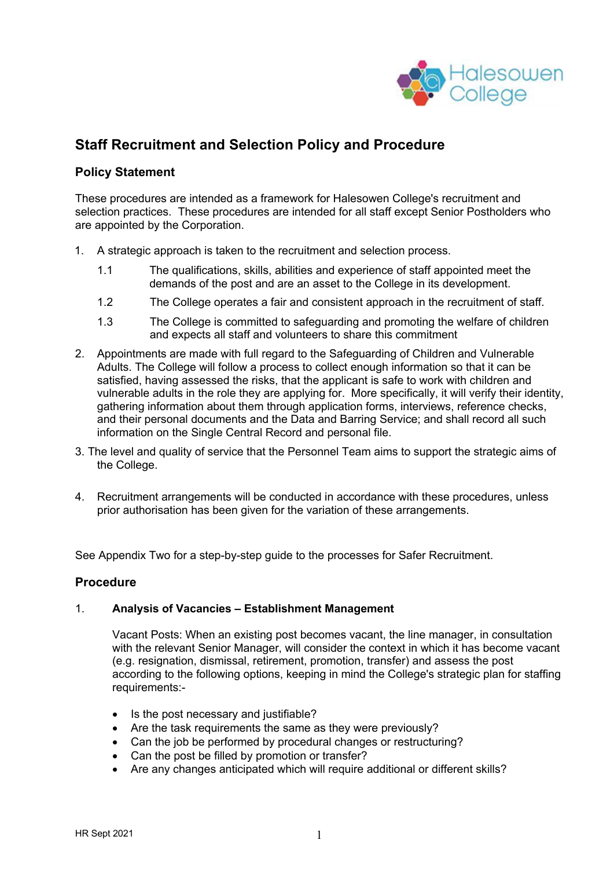

# **Staff Recruitment and Selection Policy and Procedure**

# **Policy Statement**

These procedures are intended as a framework for Halesowen College's recruitment and selection practices. These procedures are intended for all staff except Senior Postholders who are appointed by the Corporation.

- 1. A strategic approach is taken to the recruitment and selection process.
	- 1.1 The qualifications, skills, abilities and experience of staff appointed meet the demands of the post and are an asset to the College in its development.
	- 1.2 The College operates a fair and consistent approach in the recruitment of staff.
	- 1.3 The College is committed to safeguarding and promoting the welfare of children and expects all staff and volunteers to share this commitment
- 2. Appointments are made with full regard to the Safeguarding of Children and Vulnerable Adults. The College will follow a process to collect enough information so that it can be satisfied, having assessed the risks, that the applicant is safe to work with children and vulnerable adults in the role they are applying for. More specifically, it will verify their identity, gathering information about them through application forms, interviews, reference checks, and their personal documents and the Data and Barring Service; and shall record all such information on the Single Central Record and personal file.
- 3. The level and quality of service that the Personnel Team aims to support the strategic aims of the College.
- 4. Recruitment arrangements will be conducted in accordance with these procedures, unless prior authorisation has been given for the variation of these arrangements.

See Appendix Two for a step-by-step guide to the processes for Safer Recruitment.

#### **Procedure**

#### 1. **Analysis of Vacancies – Establishment Management**

Vacant Posts: When an existing post becomes vacant, the line manager, in consultation with the relevant Senior Manager, will consider the context in which it has become vacant (e.g. resignation, dismissal, retirement, promotion, transfer) and assess the post according to the following options, keeping in mind the College's strategic plan for staffing requirements:-

- Is the post necessary and justifiable?
- Are the task requirements the same as they were previously?
- Can the job be performed by procedural changes or restructuring?
- Can the post be filled by promotion or transfer?
- Are any changes anticipated which will require additional or different skills?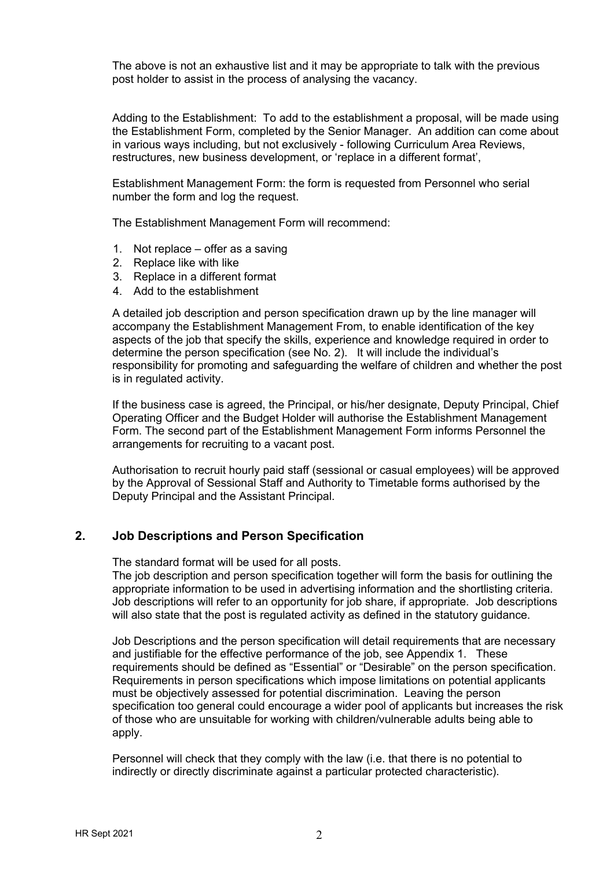The above is not an exhaustive list and it may be appropriate to talk with the previous post holder to assist in the process of analysing the vacancy.

Adding to the Establishment: To add to the establishment a proposal, will be made using the Establishment Form, completed by the Senior Manager. An addition can come about in various ways including, but not exclusively - following Curriculum Area Reviews, restructures, new business development, or 'replace in a different format',

Establishment Management Form: the form is requested from Personnel who serial number the form and log the request.

The Establishment Management Form will recommend:

- 1. Not replace offer as a saving
- 2. Replace like with like
- 3. Replace in a different format
- 4. Add to the establishment

A detailed job description and person specification drawn up by the line manager will accompany the Establishment Management From, to enable identification of the key aspects of the job that specify the skills, experience and knowledge required in order to determine the person specification (see No. 2). It will include the individual's responsibility for promoting and safeguarding the welfare of children and whether the post is in regulated activity.

If the business case is agreed, the Principal, or his/her designate, Deputy Principal, Chief Operating Officer and the Budget Holder will authorise the Establishment Management Form. The second part of the Establishment Management Form informs Personnel the arrangements for recruiting to a vacant post.

Authorisation to recruit hourly paid staff (sessional or casual employees) will be approved by the Approval of Sessional Staff and Authority to Timetable forms authorised by the Deputy Principal and the Assistant Principal.

#### **2. Job Descriptions and Person Specification**

The standard format will be used for all posts.

The job description and person specification together will form the basis for outlining the appropriate information to be used in advertising information and the shortlisting criteria. Job descriptions will refer to an opportunity for job share, if appropriate. Job descriptions will also state that the post is regulated activity as defined in the statutory guidance.

Job Descriptions and the person specification will detail requirements that are necessary and justifiable for the effective performance of the job, see Appendix 1. These requirements should be defined as "Essential" or "Desirable" on the person specification. Requirements in person specifications which impose limitations on potential applicants must be objectively assessed for potential discrimination. Leaving the person specification too general could encourage a wider pool of applicants but increases the risk of those who are unsuitable for working with children/vulnerable adults being able to apply.

Personnel will check that they comply with the law (i.e. that there is no potential to indirectly or directly discriminate against a particular protected characteristic).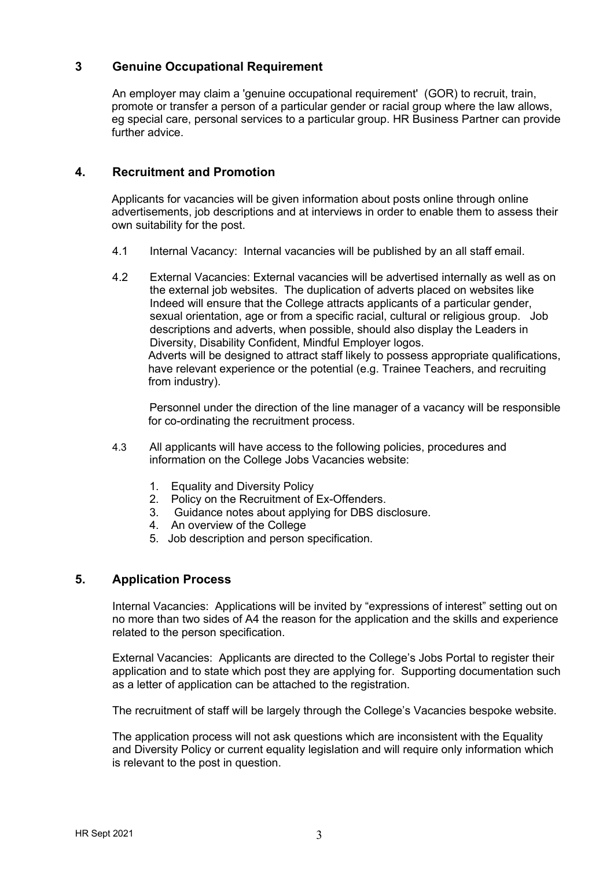# **3 Genuine Occupational Requirement**

An employer may claim a 'genuine occupational requirement' (GOR) to recruit, train, promote or transfer a person of a particular gender or racial group where the law allows, eg special care, personal services to a particular group. HR Business Partner can provide further advice

# **4. Recruitment and Promotion**

Applicants for vacancies will be given information about posts online through online advertisements, job descriptions and at interviews in order to enable them to assess their own suitability for the post.

- 4.1 Internal Vacancy: Internal vacancies will be published by an all staff email.
- 4.2 External Vacancies: External vacancies will be advertised internally as well as on the external job websites. The duplication of adverts placed on websites like Indeed will ensure that the College attracts applicants of a particular gender, sexual orientation, age or from a specific racial, cultural or religious group. Job descriptions and adverts, when possible, should also display the Leaders in Diversity, Disability Confident, Mindful Employer logos. Adverts will be designed to attract staff likely to possess appropriate qualifications, have relevant experience or the potential (e.g. Trainee Teachers, and recruiting from industry).

Personnel under the direction of the line manager of a vacancy will be responsible for co-ordinating the recruitment process.

- 4.3 All applicants will have access to the following policies, procedures and information on the College Jobs Vacancies website:
	- 1. Equality and Diversity Policy
	- 2. Policy on the Recruitment of Ex-Offenders.
	- 3. Guidance notes about applying for DBS disclosure.
	- 4. An overview of the College
	- 5. Job description and person specification.

# **5. Application Process**

Internal Vacancies: Applications will be invited by "expressions of interest" setting out on no more than two sides of A4 the reason for the application and the skills and experience related to the person specification.

External Vacancies: Applicants are directed to the College's Jobs Portal to register their application and to state which post they are applying for. Supporting documentation such as a letter of application can be attached to the registration.

The recruitment of staff will be largely through the College's Vacancies bespoke website.

The application process will not ask questions which are inconsistent with the Equality and Diversity Policy or current equality legislation and will require only information which is relevant to the post in question.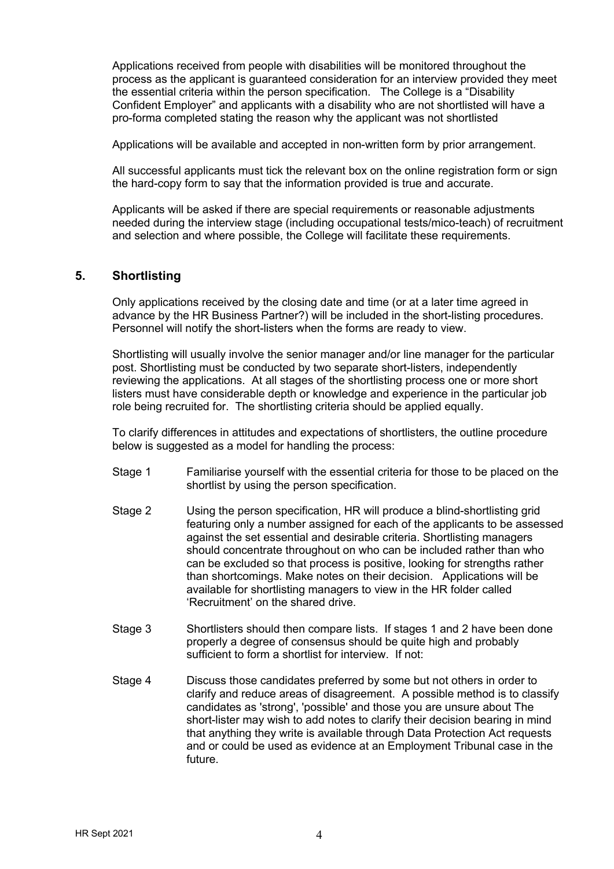Applications received from people with disabilities will be monitored throughout the process as the applicant is guaranteed consideration for an interview provided they meet the essential criteria within the person specification. The College is a "Disability Confident Employer" and applicants with a disability who are not shortlisted will have a pro-forma completed stating the reason why the applicant was not shortlisted

Applications will be available and accepted in non-written form by prior arrangement.

All successful applicants must tick the relevant box on the online registration form or sign the hard-copy form to say that the information provided is true and accurate.

Applicants will be asked if there are special requirements or reasonable adjustments needed during the interview stage (including occupational tests/mico-teach) of recruitment and selection and where possible, the College will facilitate these requirements.

# **5. Shortlisting**

Only applications received by the closing date and time (or at a later time agreed in advance by the HR Business Partner?) will be included in the short-listing procedures. Personnel will notify the short-listers when the forms are ready to view.

Shortlisting will usually involve the senior manager and/or line manager for the particular post. Shortlisting must be conducted by two separate short-listers, independently reviewing the applications. At all stages of the shortlisting process one or more short listers must have considerable depth or knowledge and experience in the particular job role being recruited for. The shortlisting criteria should be applied equally.

To clarify differences in attitudes and expectations of shortlisters, the outline procedure below is suggested as a model for handling the process:

- Stage 1 Familiarise yourself with the essential criteria for those to be placed on the shortlist by using the person specification.
- Stage 2 Using the person specification, HR will produce a blind-shortlisting grid featuring only a number assigned for each of the applicants to be assessed against the set essential and desirable criteria. Shortlisting managers should concentrate throughout on who can be included rather than who can be excluded so that process is positive, looking for strengths rather than shortcomings. Make notes on their decision. Applications will be available for shortlisting managers to view in the HR folder called 'Recruitment' on the shared drive.
- Stage 3 Shortlisters should then compare lists. If stages 1 and 2 have been done properly a degree of consensus should be quite high and probably sufficient to form a shortlist for interview. If not:
- Stage 4 Discuss those candidates preferred by some but not others in order to clarify and reduce areas of disagreement. A possible method is to classify candidates as 'strong', 'possible' and those you are unsure about The short-lister may wish to add notes to clarify their decision bearing in mind that anything they write is available through Data Protection Act requests and or could be used as evidence at an Employment Tribunal case in the future.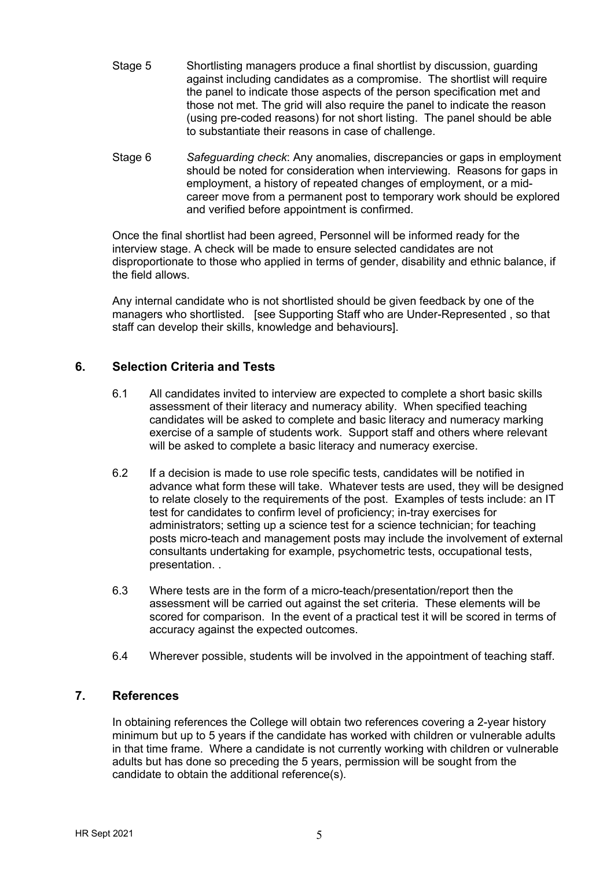- Stage 5 Shortlisting managers produce a final shortlist by discussion, guarding against including candidates as a compromise. The shortlist will require the panel to indicate those aspects of the person specification met and those not met. The grid will also require the panel to indicate the reason (using pre-coded reasons) for not short listing. The panel should be able to substantiate their reasons in case of challenge.
- Stage 6 *Safeguarding check*: Any anomalies, discrepancies or gaps in employment should be noted for consideration when interviewing. Reasons for gaps in employment, a history of repeated changes of employment, or a midcareer move from a permanent post to temporary work should be explored and verified before appointment is confirmed.

Once the final shortlist had been agreed, Personnel will be informed ready for the interview stage. A check will be made to ensure selected candidates are not disproportionate to those who applied in terms of gender, disability and ethnic balance, if the field allows.

Any internal candidate who is not shortlisted should be given feedback by one of the managers who shortlisted. [see Supporting Staff who are Under-Represented , so that staff can develop their skills, knowledge and behaviours].

# **6. Selection Criteria and Tests**

- 6.1 All candidates invited to interview are expected to complete a short basic skills assessment of their literacy and numeracy ability. When specified teaching candidates will be asked to complete and basic literacy and numeracy marking exercise of a sample of students work. Support staff and others where relevant will be asked to complete a basic literacy and numeracy exercise.
- 6.2 If a decision is made to use role specific tests, candidates will be notified in advance what form these will take. Whatever tests are used, they will be designed to relate closely to the requirements of the post. Examples of tests include: an IT test for candidates to confirm level of proficiency; in-tray exercises for administrators; setting up a science test for a science technician; for teaching posts micro-teach and management posts may include the involvement of external consultants undertaking for example, psychometric tests, occupational tests, presentation. .
- 6.3 Where tests are in the form of a micro-teach/presentation/report then the assessment will be carried out against the set criteria. These elements will be scored for comparison. In the event of a practical test it will be scored in terms of accuracy against the expected outcomes.
- 6.4 Wherever possible, students will be involved in the appointment of teaching staff.

# **7. References**

In obtaining references the College will obtain two references covering a 2-year history minimum but up to 5 years if the candidate has worked with children or vulnerable adults in that time frame. Where a candidate is not currently working with children or vulnerable adults but has done so preceding the 5 years, permission will be sought from the candidate to obtain the additional reference(s).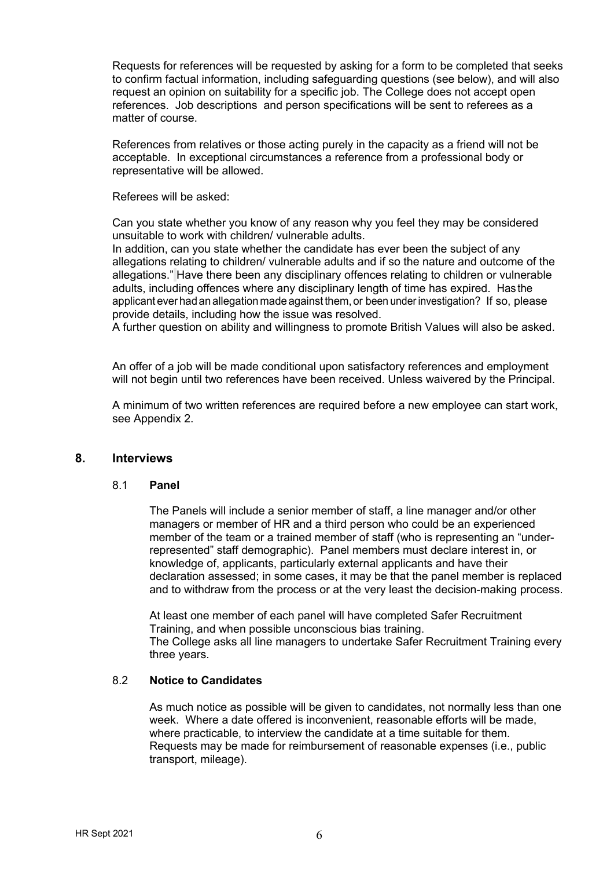Requests for references will be requested by asking for a form to be completed that seeks to confirm factual information, including safeguarding questions (see below), and will also request an opinion on suitability for a specific job. The College does not accept open references. Job descriptions and person specifications will be sent to referees as a matter of course.

References from relatives or those acting purely in the capacity as a friend will not be acceptable. In exceptional circumstances a reference from a professional body or representative will be allowed.

Referees will be asked:

Can you state whether you know of any reason why you feel they may be considered unsuitable to work with children/ vulnerable adults.

In addition, can you state whether the candidate has ever been the subject of any allegations relating to children/ vulnerable adults and if so the nature and outcome of the allegations." Have there been any disciplinary offences relating to children or vulnerable adults, including offences where any disciplinary length of time has expired. Has the applicant ever had an allegation made against them, or been under investigation? If so, please provide details, including how the issue was resolved.

A further question on ability and willingness to promote British Values will also be asked.

An offer of a job will be made conditional upon satisfactory references and employment will not begin until two references have been received. Unless waivered by the Principal.

A minimum of two written references are required before a new employee can start work, see Appendix 2.

#### **8. Interviews**

#### 8.1 **Panel**

The Panels will include a senior member of staff, a line manager and/or other managers or member of HR and a third person who could be an experienced member of the team or a trained member of staff (who is representing an "underrepresented" staff demographic). Panel members must declare interest in, or knowledge of, applicants, particularly external applicants and have their declaration assessed; in some cases, it may be that the panel member is replaced and to withdraw from the process or at the very least the decision-making process.

At least one member of each panel will have completed Safer Recruitment Training, and when possible unconscious bias training. The College asks all line managers to undertake Safer Recruitment Training every three years.

#### 8.2 **Notice to Candidates**

As much notice as possible will be given to candidates, not normally less than one week. Where a date offered is inconvenient, reasonable efforts will be made, where practicable, to interview the candidate at a time suitable for them. Requests may be made for reimbursement of reasonable expenses (i.e., public transport, mileage).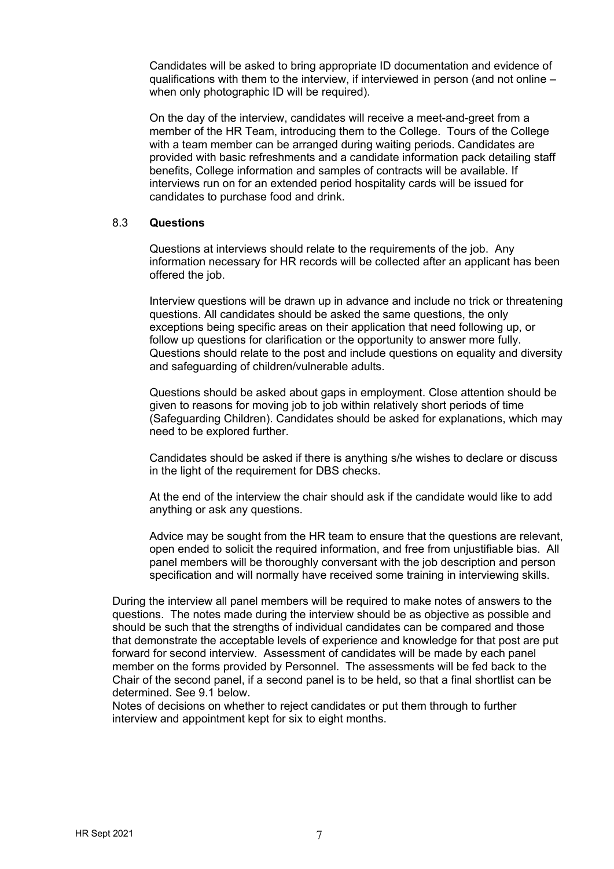Candidates will be asked to bring appropriate ID documentation and evidence of qualifications with them to the interview, if interviewed in person (and not online – when only photographic ID will be required).

On the day of the interview, candidates will receive a meet-and-greet from a member of the HR Team, introducing them to the College. Tours of the College with a team member can be arranged during waiting periods. Candidates are provided with basic refreshments and a candidate information pack detailing staff benefits, College information and samples of contracts will be available. If interviews run on for an extended period hospitality cards will be issued for candidates to purchase food and drink.

#### 8.3 **Questions**

Questions at interviews should relate to the requirements of the job. Any information necessary for HR records will be collected after an applicant has been offered the job.

Interview questions will be drawn up in advance and include no trick or threatening questions. All candidates should be asked the same questions, the only exceptions being specific areas on their application that need following up, or follow up questions for clarification or the opportunity to answer more fully. Questions should relate to the post and include questions on equality and diversity and safeguarding of children/vulnerable adults.

Questions should be asked about gaps in employment. Close attention should be given to reasons for moving job to job within relatively short periods of time (Safeguarding Children). Candidates should be asked for explanations, which may need to be explored further.

Candidates should be asked if there is anything s/he wishes to declare or discuss in the light of the requirement for DBS checks.

At the end of the interview the chair should ask if the candidate would like to add anything or ask any questions.

Advice may be sought from the HR team to ensure that the questions are relevant, open ended to solicit the required information, and free from unjustifiable bias. All panel members will be thoroughly conversant with the job description and person specification and will normally have received some training in interviewing skills.

During the interview all panel members will be required to make notes of answers to the questions. The notes made during the interview should be as objective as possible and should be such that the strengths of individual candidates can be compared and those that demonstrate the acceptable levels of experience and knowledge for that post are put forward for second interview. Assessment of candidates will be made by each panel member on the forms provided by Personnel. The assessments will be fed back to the Chair of the second panel, if a second panel is to be held, so that a final shortlist can be determined. See 9.1 below.

Notes of decisions on whether to reject candidates or put them through to further interview and appointment kept for six to eight months.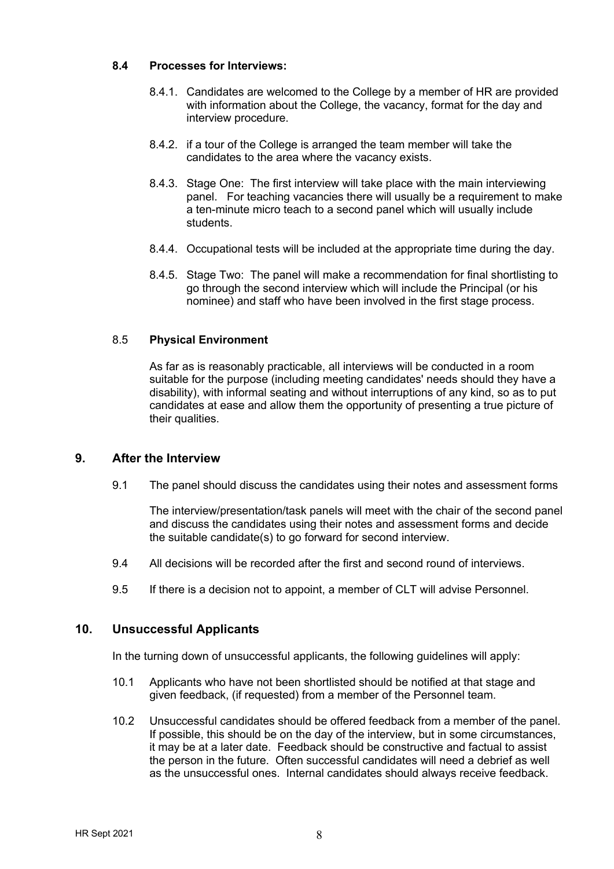#### **8.4 Processes for Interviews:**

- 8.4.1. Candidates are welcomed to the College by a member of HR are provided with information about the College, the vacancy, format for the day and interview procedure.
- 8.4.2. if a tour of the College is arranged the team member will take the candidates to the area where the vacancy exists.
- 8.4.3. Stage One: The first interview will take place with the main interviewing panel. For teaching vacancies there will usually be a requirement to make a ten-minute micro teach to a second panel which will usually include students.
- 8.4.4. Occupational tests will be included at the appropriate time during the day.
- 8.4.5. Stage Two: The panel will make a recommendation for final shortlisting to go through the second interview which will include the Principal (or his nominee) and staff who have been involved in the first stage process.

#### 8.5 **Physical Environment**

As far as is reasonably practicable, all interviews will be conducted in a room suitable for the purpose (including meeting candidates' needs should they have a disability), with informal seating and without interruptions of any kind, so as to put candidates at ease and allow them the opportunity of presenting a true picture of their qualities.

## **9. After the Interview**

9.1 The panel should discuss the candidates using their notes and assessment forms

The interview/presentation/task panels will meet with the chair of the second panel and discuss the candidates using their notes and assessment forms and decide the suitable candidate(s) to go forward for second interview.

- 9.4 All decisions will be recorded after the first and second round of interviews.
- 9.5 If there is a decision not to appoint, a member of CLT will advise Personnel.

#### **10. Unsuccessful Applicants**

In the turning down of unsuccessful applicants, the following guidelines will apply:

- 10.1 Applicants who have not been shortlisted should be notified at that stage and given feedback, (if requested) from a member of the Personnel team.
- 10.2 Unsuccessful candidates should be offered feedback from a member of the panel. If possible, this should be on the day of the interview, but in some circumstances, it may be at a later date. Feedback should be constructive and factual to assist the person in the future. Often successful candidates will need a debrief as well as the unsuccessful ones. Internal candidates should always receive feedback.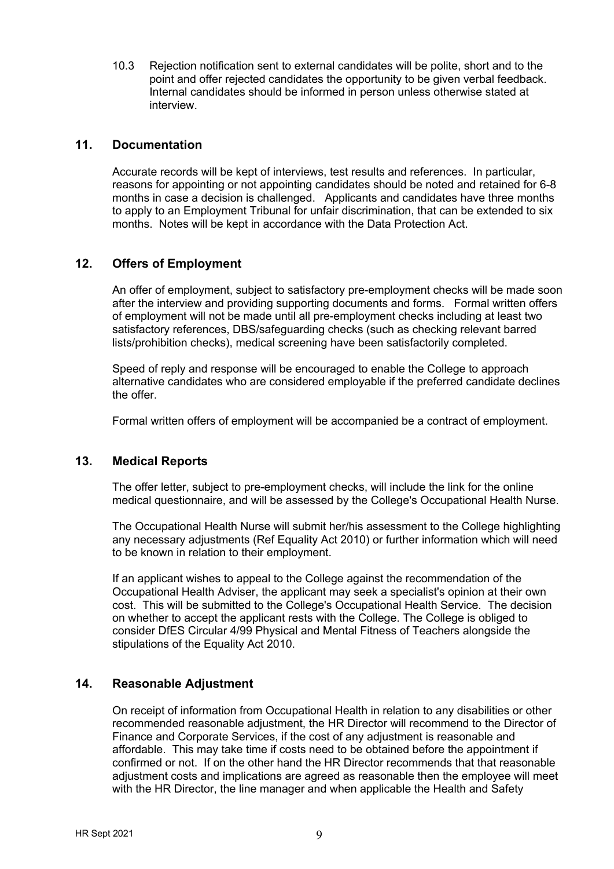10.3 Rejection notification sent to external candidates will be polite, short and to the point and offer rejected candidates the opportunity to be given verbal feedback. Internal candidates should be informed in person unless otherwise stated at interview.

## **11. Documentation**

Accurate records will be kept of interviews, test results and references. In particular, reasons for appointing or not appointing candidates should be noted and retained for 6-8 months in case a decision is challenged. Applicants and candidates have three months to apply to an Employment Tribunal for unfair discrimination, that can be extended to six months. Notes will be kept in accordance with the Data Protection Act.

# **12. Offers of Employment**

An offer of employment, subject to satisfactory pre-employment checks will be made soon after the interview and providing supporting documents and forms. Formal written offers of employment will not be made until all pre-employment checks including at least two satisfactory references, DBS/safeguarding checks (such as checking relevant barred lists/prohibition checks), medical screening have been satisfactorily completed.

Speed of reply and response will be encouraged to enable the College to approach alternative candidates who are considered employable if the preferred candidate declines the offer.

Formal written offers of employment will be accompanied be a contract of employment.

# **13. Medical Reports**

The offer letter, subject to pre-employment checks, will include the link for the online medical questionnaire, and will be assessed by the College's Occupational Health Nurse.

The Occupational Health Nurse will submit her/his assessment to the College highlighting any necessary adjustments (Ref Equality Act 2010) or further information which will need to be known in relation to their employment.

If an applicant wishes to appeal to the College against the recommendation of the Occupational Health Adviser, the applicant may seek a specialist's opinion at their own cost. This will be submitted to the College's Occupational Health Service. The decision on whether to accept the applicant rests with the College. The College is obliged to consider DfES Circular 4/99 Physical and Mental Fitness of Teachers alongside the stipulations of the Equality Act 2010.

# **14. Reasonable Adjustment**

On receipt of information from Occupational Health in relation to any disabilities or other recommended reasonable adjustment, the HR Director will recommend to the Director of Finance and Corporate Services, if the cost of any adjustment is reasonable and affordable. This may take time if costs need to be obtained before the appointment if confirmed or not. If on the other hand the HR Director recommends that that reasonable adjustment costs and implications are agreed as reasonable then the employee will meet with the HR Director, the line manager and when applicable the Health and Safety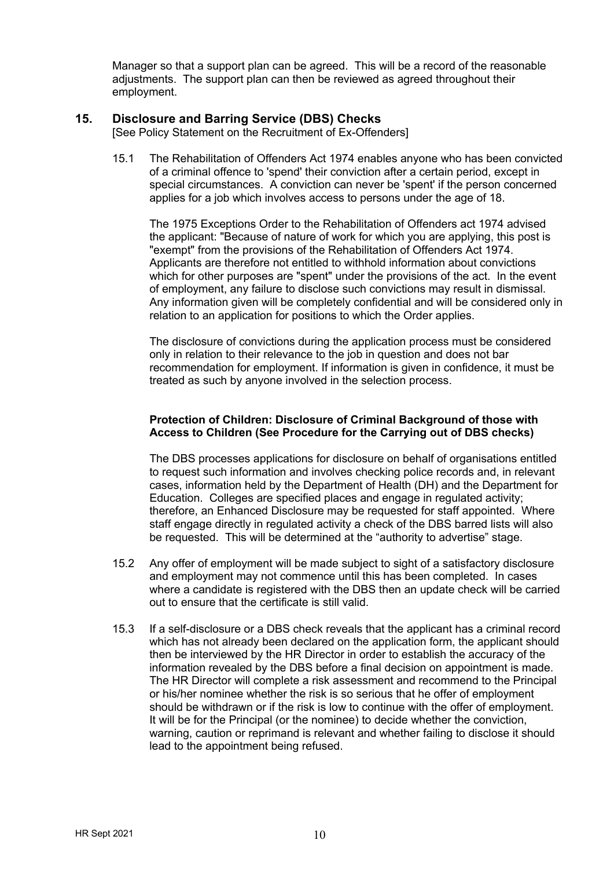Manager so that a support plan can be agreed. This will be a record of the reasonable adjustments. The support plan can then be reviewed as agreed throughout their employment.

## **15. Disclosure and Barring Service (DBS) Checks**

[See Policy Statement on the Recruitment of Ex-Offenders]

15.1 The Rehabilitation of Offenders Act 1974 enables anyone who has been convicted of a criminal offence to 'spend' their conviction after a certain period, except in special circumstances. A conviction can never be 'spent' if the person concerned applies for a job which involves access to persons under the age of 18.

The 1975 Exceptions Order to the Rehabilitation of Offenders act 1974 advised the applicant: "Because of nature of work for which you are applying, this post is "exempt" from the provisions of the Rehabilitation of Offenders Act 1974. Applicants are therefore not entitled to withhold information about convictions which for other purposes are "spent" under the provisions of the act. In the event of employment, any failure to disclose such convictions may result in dismissal. Any information given will be completely confidential and will be considered only in relation to an application for positions to which the Order applies.

The disclosure of convictions during the application process must be considered only in relation to their relevance to the job in question and does not bar recommendation for employment. If information is given in confidence, it must be treated as such by anyone involved in the selection process.

#### **Protection of Children: Disclosure of Criminal Background of those with Access to Children (See Procedure for the Carrying out of DBS checks)**

The DBS processes applications for disclosure on behalf of organisations entitled to request such information and involves checking police records and, in relevant cases, information held by the Department of Health (DH) and the Department for Education. Colleges are specified places and engage in regulated activity; therefore, an Enhanced Disclosure may be requested for staff appointed. Where staff engage directly in regulated activity a check of the DBS barred lists will also be requested. This will be determined at the "authority to advertise" stage.

- 15.2 Any offer of employment will be made subject to sight of a satisfactory disclosure and employment may not commence until this has been completed. In cases where a candidate is registered with the DBS then an update check will be carried out to ensure that the certificate is still valid.
- 15.3 If a self-disclosure or a DBS check reveals that the applicant has a criminal record which has not already been declared on the application form, the applicant should then be interviewed by the HR Director in order to establish the accuracy of the information revealed by the DBS before a final decision on appointment is made. The HR Director will complete a risk assessment and recommend to the Principal or his/her nominee whether the risk is so serious that he offer of employment should be withdrawn or if the risk is low to continue with the offer of employment. It will be for the Principal (or the nominee) to decide whether the conviction, warning, caution or reprimand is relevant and whether failing to disclose it should lead to the appointment being refused.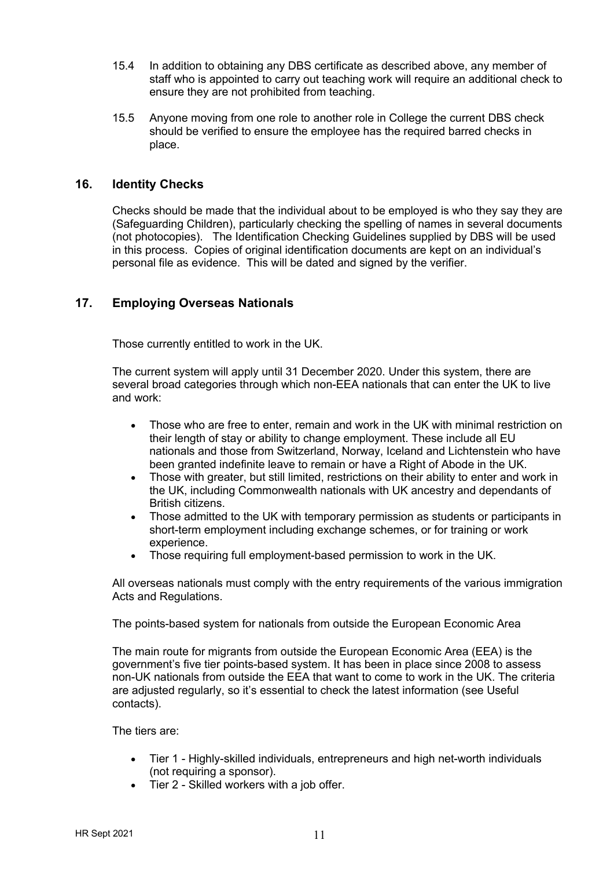- 15.4 In addition to obtaining any DBS certificate as described above, any member of staff who is appointed to carry out teaching work will require an additional check to ensure they are not prohibited from teaching.
- 15.5 Anyone moving from one role to another role in College the current DBS check should be verified to ensure the employee has the required barred checks in place.

## **16. Identity Checks**

Checks should be made that the individual about to be employed is who they say they are (Safeguarding Children), particularly checking the spelling of names in several documents (not photocopies). The Identification Checking Guidelines supplied by DBS will be used in this process. Copies of original identification documents are kept on an individual's personal file as evidence. This will be dated and signed by the verifier.

## **17. Employing Overseas Nationals**

Those currently entitled to work in the UK.

The current system will apply until 31 December 2020. Under this system, there are several broad categories through which non-EEA nationals that can enter the UK to live and work:

- Those who are free to enter, remain and work in the UK with minimal restriction on their length of stay or ability to change employment. These include all EU nationals and those from Switzerland, Norway, Iceland and Lichtenstein who have been granted indefinite leave to remain or have a Right of Abode in the UK.
- Those with greater, but still limited, restrictions on their ability to enter and work in the UK, including Commonwealth nationals with UK ancestry and dependants of British citizens.
- Those admitted to the UK with temporary permission as students or participants in short-term employment including exchange schemes, or for training or work experience.
- Those requiring full employment-based permission to work in the UK.

All overseas nationals must comply with the entry requirements of the various immigration Acts and Regulations.

The points-based system for nationals from outside the European Economic Area

The main route for migrants from outside the European Economic Area (EEA) is the government's five tier points-based system. It has been in place since 2008 to assess non-UK nationals from outside the EEA that want to come to work in the UK. The criteria are adjusted regularly, so it's essential to check the latest information (see Useful contacts).

The tiers are:

- Tier 1 Highly-skilled individuals, entrepreneurs and high net-worth individuals (not requiring a sponsor).
- Tier 2 Skilled workers with a job offer.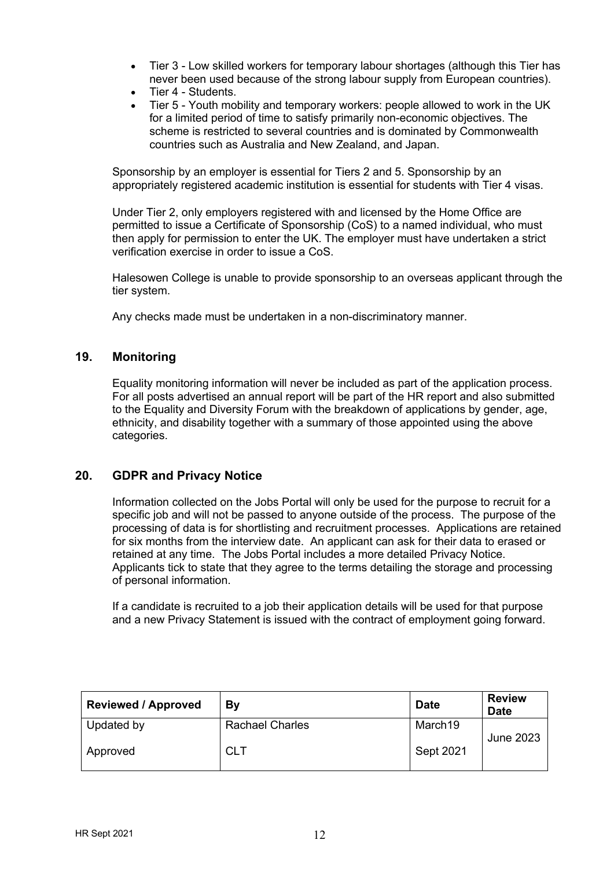- Tier 3 Low skilled workers for temporary labour shortages (although this Tier has never been used because of the strong labour supply from European countries).
- Tier 4 Students.
- Tier 5 Youth mobility and temporary workers: people allowed to work in the UK for a limited period of time to satisfy primarily non-economic objectives. The scheme is restricted to several countries and is dominated by Commonwealth countries such as Australia and New Zealand, and Japan.

Sponsorship by an employer is essential for Tiers 2 and 5. Sponsorship by an appropriately registered academic institution is essential for students with Tier 4 visas.

Under Tier 2, only employers registered with and licensed by the Home Office are permitted to issue a Certificate of Sponsorship (CoS) to a named individual, who must then apply for permission to enter the UK. The employer must have undertaken a strict verification exercise in order to issue a CoS.

Halesowen College is unable to provide sponsorship to an overseas applicant through the tier system.

Any checks made must be undertaken in a non-discriminatory manner.

#### **19. Monitoring**

Equality monitoring information will never be included as part of the application process. For all posts advertised an annual report will be part of the HR report and also submitted to the Equality and Diversity Forum with the breakdown of applications by gender, age, ethnicity, and disability together with a summary of those appointed using the above categories.

# **20. GDPR and Privacy Notice**

Information collected on the Jobs Portal will only be used for the purpose to recruit for a specific job and will not be passed to anyone outside of the process. The purpose of the processing of data is for shortlisting and recruitment processes. Applications are retained for six months from the interview date. An applicant can ask for their data to erased or retained at any time. The Jobs Portal includes a more detailed Privacy Notice. Applicants tick to state that they agree to the terms detailing the storage and processing of personal information.

If a candidate is recruited to a job their application details will be used for that purpose and a new Privacy Statement is issued with the contract of employment going forward.

| <b>Reviewed / Approved</b> | By                     | <b>Date</b> | <b>Review</b><br><b>Date</b> |
|----------------------------|------------------------|-------------|------------------------------|
| Updated by                 | <b>Rachael Charles</b> | March19     | <b>June 2023</b>             |
| Approved                   | <b>CLT</b>             | Sept 2021   |                              |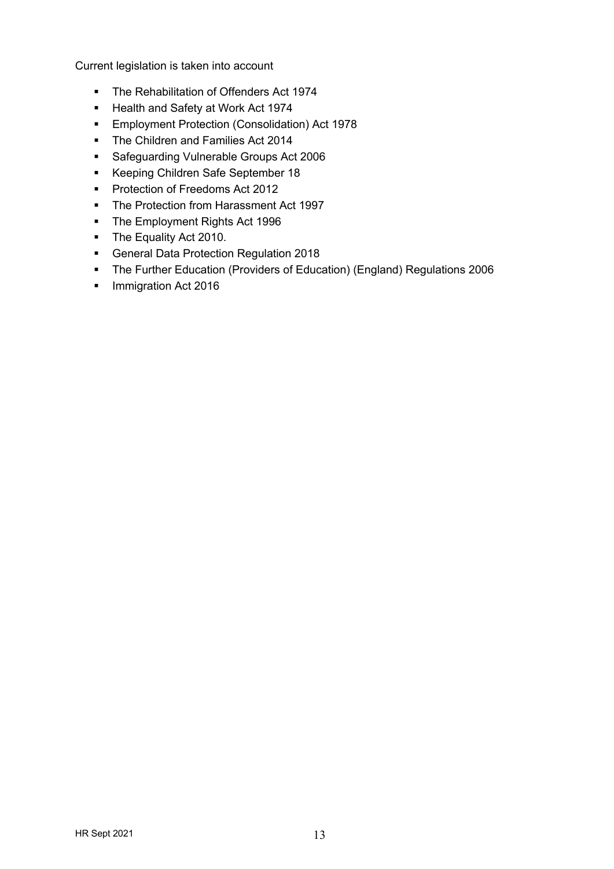Current legislation is taken into account

- § The Rehabilitation of Offenders Act 1974
- § Health and Safety at Work Act 1974
- § Employment Protection (Consolidation) Act 1978
- § The Children and Families Act 2014
- § Safeguarding Vulnerable Groups Act 2006
- § Keeping Children Safe September 18
- Protection of Freedoms Act 2012
- The Protection from Harassment Act 1997
- The Employment Rights Act 1996
- **•** The Equality Act 2010.
- General Data Protection Regulation 2018
- § The Further Education (Providers of Education) (England) Regulations 2006
- Immigration Act 2016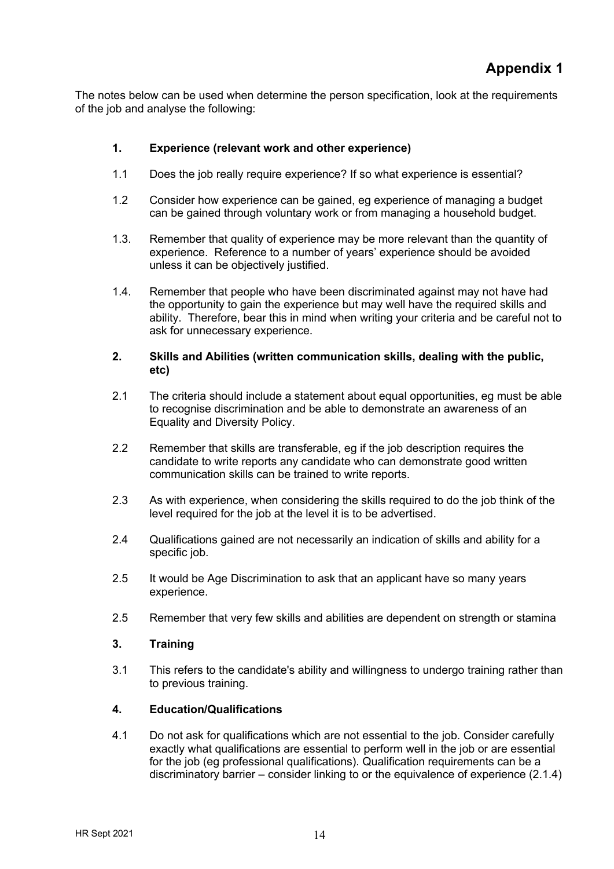The notes below can be used when determine the person specification, look at the requirements of the job and analyse the following:

## **1. Experience (relevant work and other experience)**

- 1.1 Does the job really require experience? If so what experience is essential?
- 1.2 Consider how experience can be gained, eg experience of managing a budget can be gained through voluntary work or from managing a household budget.
- 1.3. Remember that quality of experience may be more relevant than the quantity of experience. Reference to a number of years' experience should be avoided unless it can be objectively justified.
- 1.4. Remember that people who have been discriminated against may not have had the opportunity to gain the experience but may well have the required skills and ability. Therefore, bear this in mind when writing your criteria and be careful not to ask for unnecessary experience.

#### **2. Skills and Abilities (written communication skills, dealing with the public, etc)**

- 2.1 The criteria should include a statement about equal opportunities, eg must be able to recognise discrimination and be able to demonstrate an awareness of an Equality and Diversity Policy.
- 2.2 Remember that skills are transferable, eg if the job description requires the candidate to write reports any candidate who can demonstrate good written communication skills can be trained to write reports.
- 2.3 As with experience, when considering the skills required to do the job think of the level required for the job at the level it is to be advertised.
- 2.4 Qualifications gained are not necessarily an indication of skills and ability for a specific job.
- 2.5 It would be Age Discrimination to ask that an applicant have so many years experience.
- 2.5 Remember that very few skills and abilities are dependent on strength or stamina

#### **3. Training**

3.1 This refers to the candidate's ability and willingness to undergo training rather than to previous training.

#### **4. Education/Qualifications**

4.1 Do not ask for qualifications which are not essential to the job. Consider carefully exactly what qualifications are essential to perform well in the job or are essential for the job (eg professional qualifications). Qualification requirements can be a discriminatory barrier – consider linking to or the equivalence of experience (2.1.4)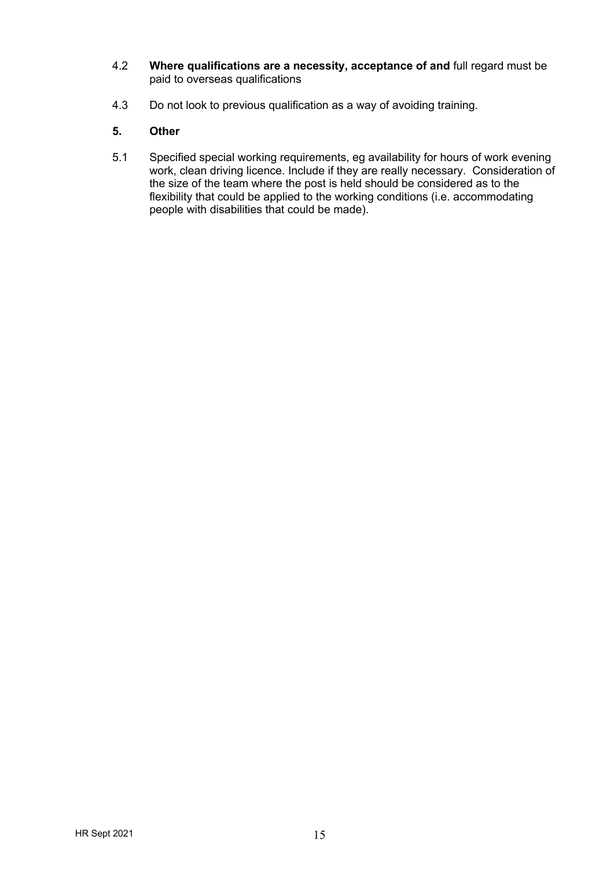- 4.2 **Where qualifications are a necessity, acceptance of and** full regard must be paid to overseas qualifications
- 4.3 Do not look to previous qualification as a way of avoiding training.

# **5. Other**

5.1 Specified special working requirements, eg availability for hours of work evening work, clean driving licence. Include if they are really necessary. Consideration of the size of the team where the post is held should be considered as to the flexibility that could be applied to the working conditions (i.e. accommodating people with disabilities that could be made).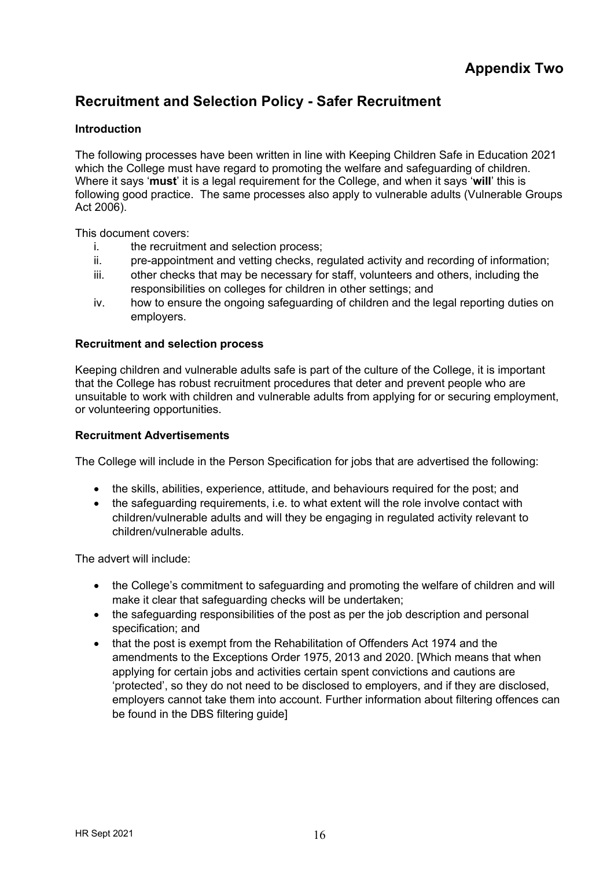# **Recruitment and Selection Policy - Safer Recruitment**

## **Introduction**

The following processes have been written in line with Keeping Children Safe in Education 2021 which the College must have regard to promoting the welfare and safeguarding of children. Where it says '**must**' it is a legal requirement for the College, and when it says '**will**' this is following good practice. The same processes also apply to vulnerable adults (Vulnerable Groups Act 2006).

This document covers:

- i. the recruitment and selection process;
- ii. pre-appointment and vetting checks, regulated activity and recording of information;
- iii. other checks that may be necessary for staff, volunteers and others, including the responsibilities on colleges for children in other settings; and
- iv. how to ensure the ongoing safeguarding of children and the legal reporting duties on employers.

#### **Recruitment and selection process**

Keeping children and vulnerable adults safe is part of the culture of the College, it is important that the College has robust recruitment procedures that deter and prevent people who are unsuitable to work with children and vulnerable adults from applying for or securing employment, or volunteering opportunities.

#### **Recruitment Advertisements**

The College will include in the Person Specification for jobs that are advertised the following:

- the skills, abilities, experience, attitude, and behaviours required for the post; and
- the safeguarding requirements, i.e. to what extent will the role involve contact with children/vulnerable adults and will they be engaging in regulated activity relevant to children/vulnerable adults.

The advert will include:

- the College's commitment to safeguarding and promoting the welfare of children and will make it clear that safeguarding checks will be undertaken;
- the safeguarding responsibilities of the post as per the job description and personal specification; and
- that the post is exempt from the Rehabilitation of Offenders Act 1974 and the amendments to the Exceptions Order 1975, 2013 and 2020. [Which means that when applying for certain jobs and activities certain spent convictions and cautions are 'protected', so they do not need to be disclosed to employers, and if they are disclosed, employers cannot take them into account. Further information about filtering offences can be found in the DBS filtering guide]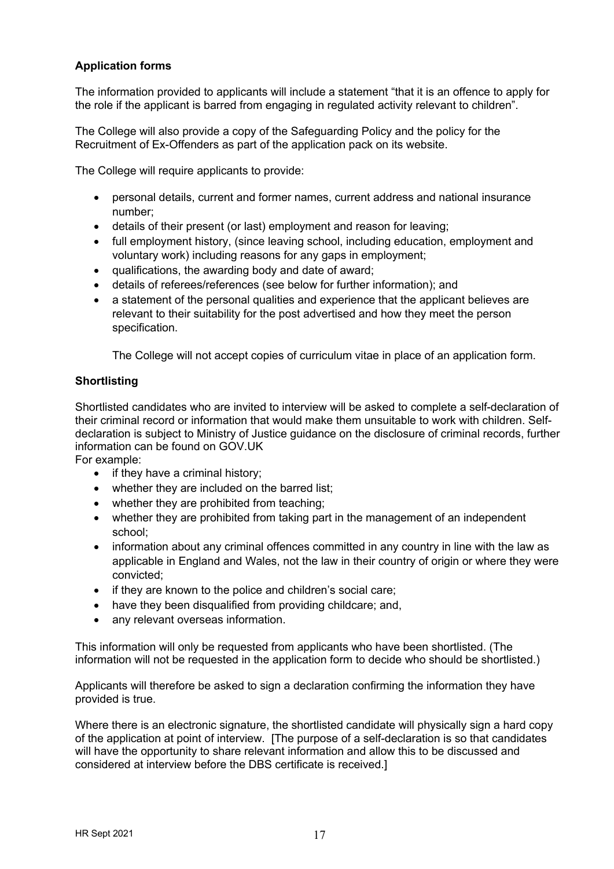# **Application forms**

The information provided to applicants will include a statement "that it is an offence to apply for the role if the applicant is barred from engaging in regulated activity relevant to children".

The College will also provide a copy of the Safeguarding Policy and the policy for the Recruitment of Ex-Offenders as part of the application pack on its website.

The College will require applicants to provide:

- personal details, current and former names, current address and national insurance number;
- details of their present (or last) employment and reason for leaving;
- full employment history, (since leaving school, including education, employment and voluntary work) including reasons for any gaps in employment;
- qualifications, the awarding body and date of award;
- details of referees/references (see below for further information); and
- a statement of the personal qualities and experience that the applicant believes are relevant to their suitability for the post advertised and how they meet the person specification.

The College will not accept copies of curriculum vitae in place of an application form.

## **Shortlisting**

Shortlisted candidates who are invited to interview will be asked to complete a self-declaration of their criminal record or information that would make them unsuitable to work with children. Selfdeclaration is subject to Ministry of Justice guidance on the disclosure of criminal records, further information can be found on GOV.UK

For example:

- if they have a criminal history;
- whether they are included on the barred list;
- whether they are prohibited from teaching:
- whether they are prohibited from taking part in the management of an independent school;
- information about any criminal offences committed in any country in line with the law as applicable in England and Wales, not the law in their country of origin or where they were convicted;
- if they are known to the police and children's social care;
- have they been disqualified from providing childcare; and,
- any relevant overseas information.

This information will only be requested from applicants who have been shortlisted. (The information will not be requested in the application form to decide who should be shortlisted.)

Applicants will therefore be asked to sign a declaration confirming the information they have provided is true.

Where there is an electronic signature, the shortlisted candidate will physically sign a hard copy of the application at point of interview. [The purpose of a self-declaration is so that candidates will have the opportunity to share relevant information and allow this to be discussed and considered at interview before the DBS certificate is received.]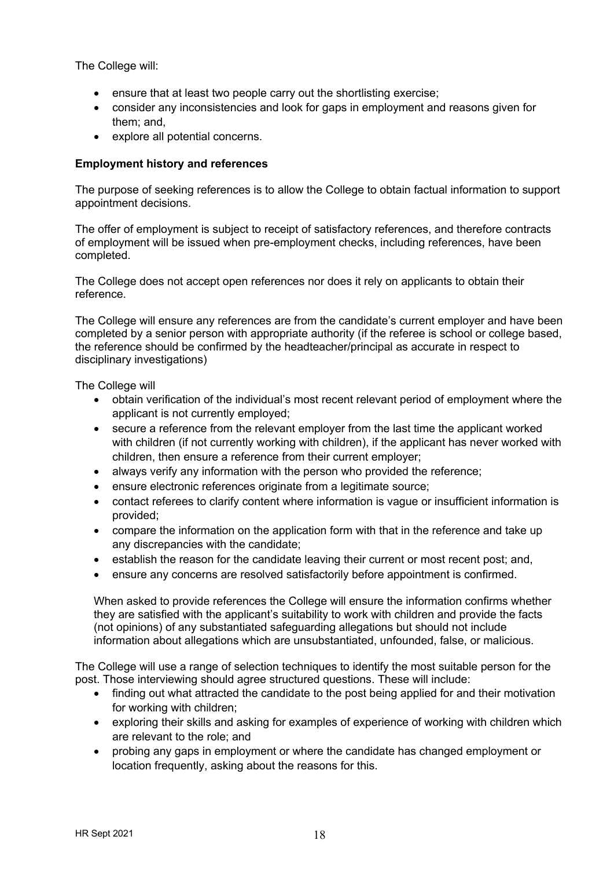The College will:

- ensure that at least two people carry out the shortlisting exercise;
- consider any inconsistencies and look for gaps in employment and reasons given for them; and,
- explore all potential concerns.

## **Employment history and references**

The purpose of seeking references is to allow the College to obtain factual information to support appointment decisions.

The offer of employment is subject to receipt of satisfactory references, and therefore contracts of employment will be issued when pre-employment checks, including references, have been completed.

The College does not accept open references nor does it rely on applicants to obtain their reference.

The College will ensure any references are from the candidate's current employer and have been completed by a senior person with appropriate authority (if the referee is school or college based, the reference should be confirmed by the headteacher/principal as accurate in respect to disciplinary investigations)

The College will

- obtain verification of the individual's most recent relevant period of employment where the applicant is not currently employed;
- secure a reference from the relevant employer from the last time the applicant worked with children (if not currently working with children), if the applicant has never worked with children, then ensure a reference from their current employer;
- always verify any information with the person who provided the reference;
- ensure electronic references originate from a legitimate source;
- contact referees to clarify content where information is vague or insufficient information is provided;
- compare the information on the application form with that in the reference and take up any discrepancies with the candidate;
- establish the reason for the candidate leaving their current or most recent post; and,
- ensure any concerns are resolved satisfactorily before appointment is confirmed.

When asked to provide references the College will ensure the information confirms whether they are satisfied with the applicant's suitability to work with children and provide the facts (not opinions) of any substantiated safeguarding allegations but should not include information about allegations which are unsubstantiated, unfounded, false, or malicious.

The College will use a range of selection techniques to identify the most suitable person for the post. Those interviewing should agree structured questions. These will include:

- finding out what attracted the candidate to the post being applied for and their motivation for working with children;
- exploring their skills and asking for examples of experience of working with children which are relevant to the role; and
- probing any gaps in employment or where the candidate has changed employment or location frequently, asking about the reasons for this.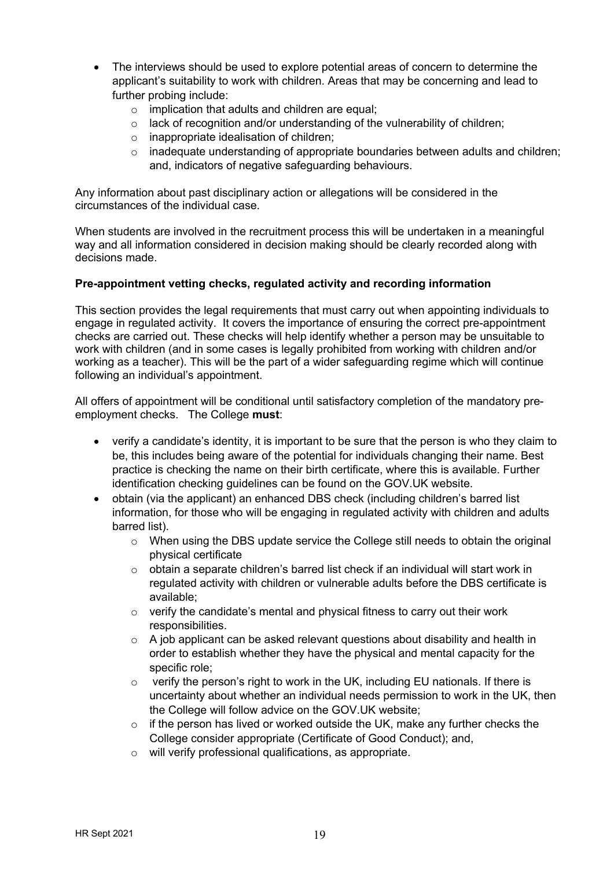- The interviews should be used to explore potential areas of concern to determine the applicant's suitability to work with children. Areas that may be concerning and lead to further probing include:
	- o implication that adults and children are equal;
	- o lack of recognition and/or understanding of the vulnerability of children;
	- o inappropriate idealisation of children;
	- o inadequate understanding of appropriate boundaries between adults and children; and, indicators of negative safeguarding behaviours.

Any information about past disciplinary action or allegations will be considered in the circumstances of the individual case.

When students are involved in the recruitment process this will be undertaken in a meaningful way and all information considered in decision making should be clearly recorded along with decisions made.

#### **Pre-appointment vetting checks, regulated activity and recording information**

This section provides the legal requirements that must carry out when appointing individuals to engage in regulated activity. It covers the importance of ensuring the correct pre-appointment checks are carried out. These checks will help identify whether a person may be unsuitable to work with children (and in some cases is legally prohibited from working with children and/or working as a teacher). This will be the part of a wider safeguarding regime which will continue following an individual's appointment.

All offers of appointment will be conditional until satisfactory completion of the mandatory preemployment checks. The College **must**:

- verify a candidate's identity, it is important to be sure that the person is who they claim to be, this includes being aware of the potential for individuals changing their name. Best practice is checking the name on their birth certificate, where this is available. Further identification checking guidelines can be found on the GOV.UK website.
- obtain (via the applicant) an enhanced DBS check (including children's barred list information, for those who will be engaging in regulated activity with children and adults barred list).
	- o When using the DBS update service the College still needs to obtain the original physical certificate
	- $\circ$  obtain a separate children's barred list check if an individual will start work in regulated activity with children or vulnerable adults before the DBS certificate is available;
	- $\circ$  verify the candidate's mental and physical fitness to carry out their work responsibilities.
	- $\circ$  A job applicant can be asked relevant questions about disability and health in order to establish whether they have the physical and mental capacity for the specific role;
	- o verify the person's right to work in the UK, including EU nationals. If there is uncertainty about whether an individual needs permission to work in the UK, then the College will follow advice on the GOV.UK website;
	- $\circ$  if the person has lived or worked outside the UK, make any further checks the College consider appropriate (Certificate of Good Conduct); and,
	- o will verify professional qualifications, as appropriate.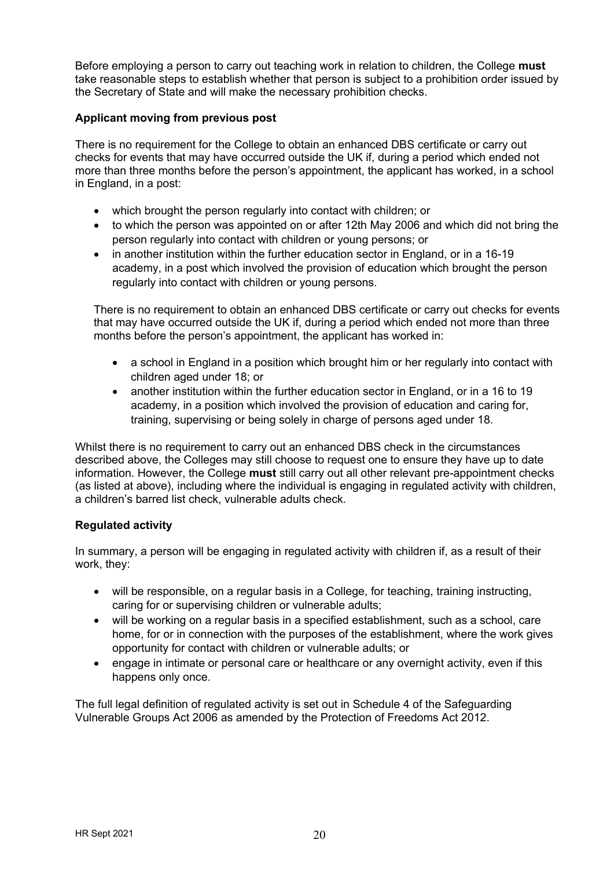Before employing a person to carry out teaching work in relation to children, the College **must** take reasonable steps to establish whether that person is subject to a prohibition order issued by the Secretary of State and will make the necessary prohibition checks.

#### **Applicant moving from previous post**

There is no requirement for the College to obtain an enhanced DBS certificate or carry out checks for events that may have occurred outside the UK if, during a period which ended not more than three months before the person's appointment, the applicant has worked, in a school in England, in a post:

- which brought the person regularly into contact with children; or
- to which the person was appointed on or after 12th May 2006 and which did not bring the person regularly into contact with children or young persons; or
- in another institution within the further education sector in England, or in a 16-19 academy, in a post which involved the provision of education which brought the person regularly into contact with children or young persons.

There is no requirement to obtain an enhanced DBS certificate or carry out checks for events that may have occurred outside the UK if, during a period which ended not more than three months before the person's appointment, the applicant has worked in:

- a school in England in a position which brought him or her regularly into contact with children aged under 18; or
- another institution within the further education sector in England, or in a 16 to 19 academy, in a position which involved the provision of education and caring for, training, supervising or being solely in charge of persons aged under 18.

Whilst there is no requirement to carry out an enhanced DBS check in the circumstances described above, the Colleges may still choose to request one to ensure they have up to date information. However, the College **must** still carry out all other relevant pre-appointment checks (as listed at above), including where the individual is engaging in regulated activity with children, a children's barred list check, vulnerable adults check.

#### **Regulated activity**

In summary, a person will be engaging in regulated activity with children if, as a result of their work, they:

- will be responsible, on a regular basis in a College, for teaching, training instructing, caring for or supervising children or vulnerable adults;
- will be working on a regular basis in a specified establishment, such as a school, care home, for or in connection with the purposes of the establishment, where the work gives opportunity for contact with children or vulnerable adults; or
- engage in intimate or personal care or healthcare or any overnight activity, even if this happens only once.

The full legal definition of regulated activity is set out in Schedule 4 of the Safeguarding Vulnerable Groups Act 2006 as amended by the Protection of Freedoms Act 2012.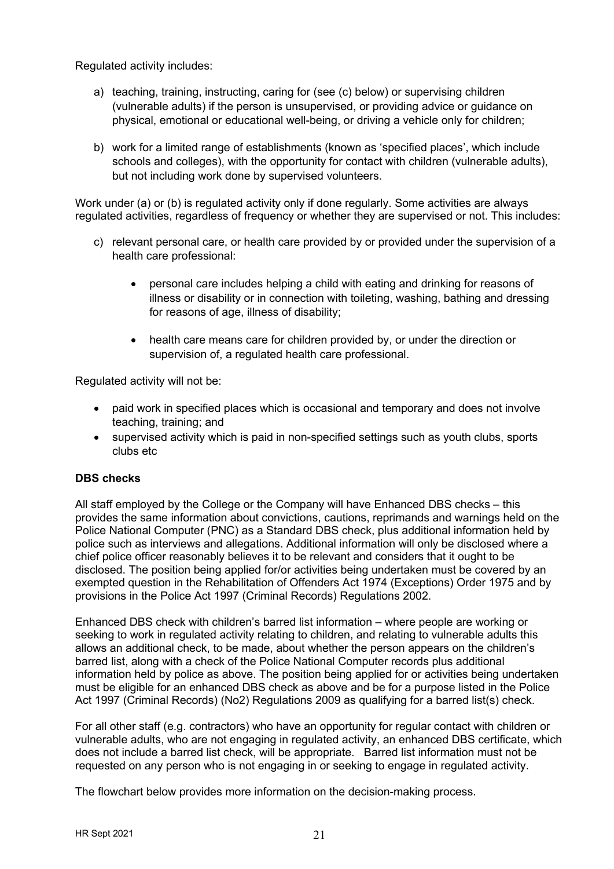Regulated activity includes:

- a) teaching, training, instructing, caring for (see (c) below) or supervising children (vulnerable adults) if the person is unsupervised, or providing advice or guidance on physical, emotional or educational well-being, or driving a vehicle only for children;
- b) work for a limited range of establishments (known as 'specified places', which include schools and colleges), with the opportunity for contact with children (vulnerable adults), but not including work done by supervised volunteers.

Work under (a) or (b) is regulated activity only if done regularly. Some activities are always regulated activities, regardless of frequency or whether they are supervised or not. This includes:

- c) relevant personal care, or health care provided by or provided under the supervision of a health care professional:
	- personal care includes helping a child with eating and drinking for reasons of illness or disability or in connection with toileting, washing, bathing and dressing for reasons of age, illness of disability;
	- health care means care for children provided by, or under the direction or supervision of, a regulated health care professional.

Regulated activity will not be:

- paid work in specified places which is occasional and temporary and does not involve teaching, training; and
- supervised activity which is paid in non-specified settings such as youth clubs, sports clubs etc

# **DBS checks**

All staff employed by the College or the Company will have Enhanced DBS checks – this provides the same information about convictions, cautions, reprimands and warnings held on the Police National Computer (PNC) as a Standard DBS check, plus additional information held by police such as interviews and allegations. Additional information will only be disclosed where a chief police officer reasonably believes it to be relevant and considers that it ought to be disclosed. The position being applied for/or activities being undertaken must be covered by an exempted question in the Rehabilitation of Offenders Act 1974 (Exceptions) Order 1975 and by provisions in the Police Act 1997 (Criminal Records) Regulations 2002.

Enhanced DBS check with children's barred list information – where people are working or seeking to work in regulated activity relating to children, and relating to vulnerable adults this allows an additional check, to be made, about whether the person appears on the children's barred list, along with a check of the Police National Computer records plus additional information held by police as above. The position being applied for or activities being undertaken must be eligible for an enhanced DBS check as above and be for a purpose listed in the Police Act 1997 (Criminal Records) (No2) Regulations 2009 as qualifying for a barred list(s) check.

For all other staff (e.g. contractors) who have an opportunity for regular contact with children or vulnerable adults, who are not engaging in regulated activity, an enhanced DBS certificate, which does not include a barred list check, will be appropriate. Barred list information must not be requested on any person who is not engaging in or seeking to engage in regulated activity.

The flowchart below provides more information on the decision-making process.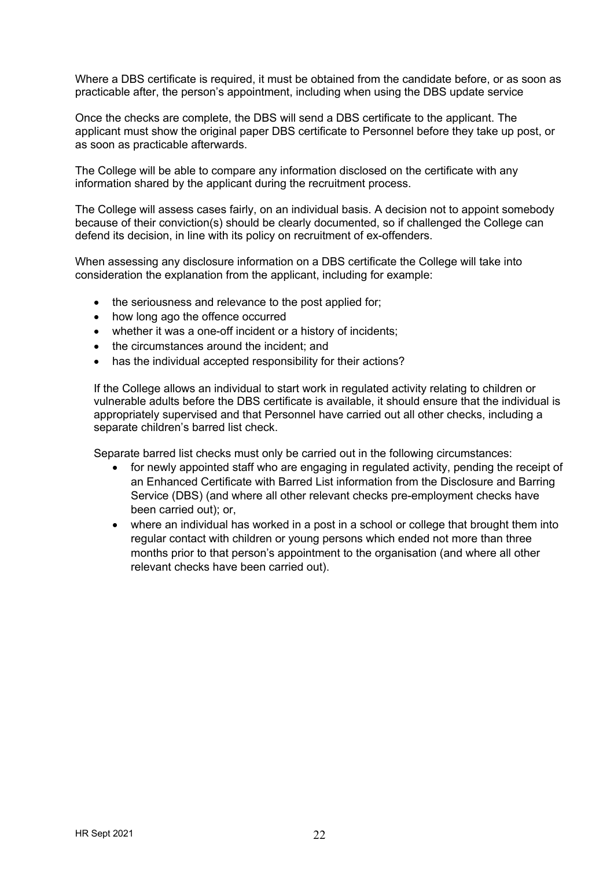Where a DBS certificate is required, it must be obtained from the candidate before, or as soon as practicable after, the person's appointment, including when using the DBS update service

Once the checks are complete, the DBS will send a DBS certificate to the applicant. The applicant must show the original paper DBS certificate to Personnel before they take up post, or as soon as practicable afterwards.

The College will be able to compare any information disclosed on the certificate with any information shared by the applicant during the recruitment process.

The College will assess cases fairly, on an individual basis. A decision not to appoint somebody because of their conviction(s) should be clearly documented, so if challenged the College can defend its decision, in line with its policy on recruitment of ex-offenders.

When assessing any disclosure information on a DBS certificate the College will take into consideration the explanation from the applicant, including for example:

- the seriousness and relevance to the post applied for:
- how long ago the offence occurred
- whether it was a one-off incident or a history of incidents;
- the circumstances around the incident; and
- has the individual accepted responsibility for their actions?

If the College allows an individual to start work in regulated activity relating to children or vulnerable adults before the DBS certificate is available, it should ensure that the individual is appropriately supervised and that Personnel have carried out all other checks, including a separate children's barred list check.

Separate barred list checks must only be carried out in the following circumstances:

- for newly appointed staff who are engaging in regulated activity, pending the receipt of an Enhanced Certificate with Barred List information from the Disclosure and Barring Service (DBS) (and where all other relevant checks pre-employment checks have been carried out); or,
- where an individual has worked in a post in a school or college that brought them into regular contact with children or young persons which ended not more than three months prior to that person's appointment to the organisation (and where all other relevant checks have been carried out).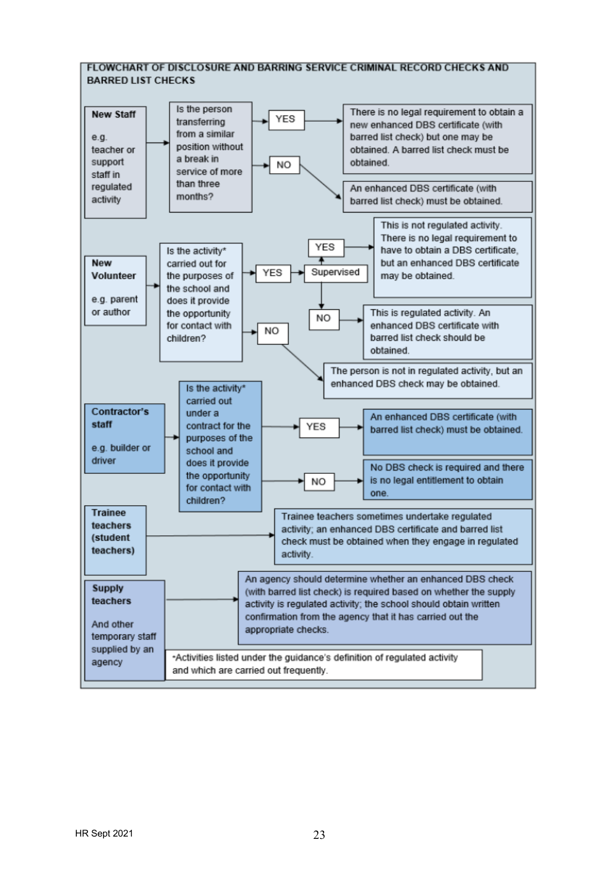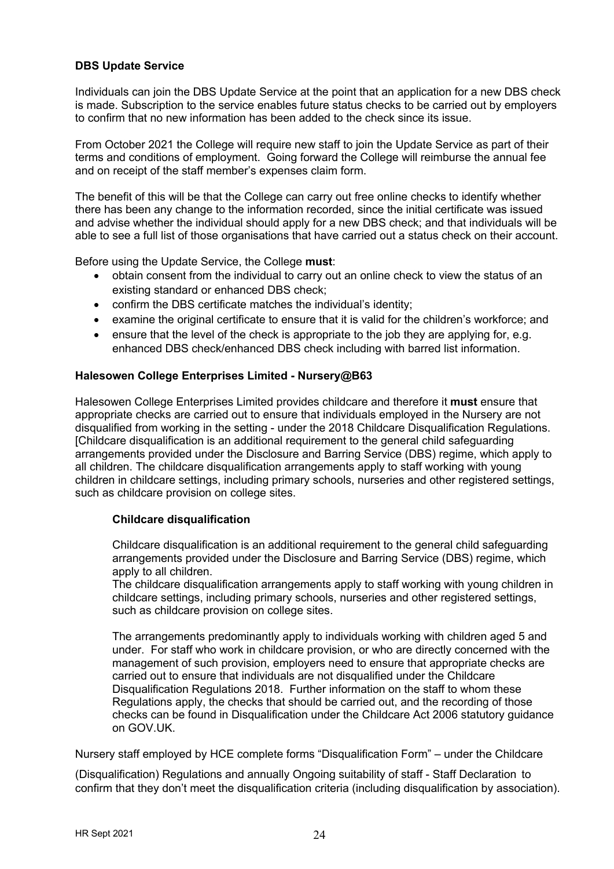## **DBS Update Service**

Individuals can join the DBS Update Service at the point that an application for a new DBS check is made. Subscription to the service enables future status checks to be carried out by employers to confirm that no new information has been added to the check since its issue.

From October 2021 the College will require new staff to join the Update Service as part of their terms and conditions of employment. Going forward the College will reimburse the annual fee and on receipt of the staff member's expenses claim form.

The benefit of this will be that the College can carry out free online checks to identify whether there has been any change to the information recorded, since the initial certificate was issued and advise whether the individual should apply for a new DBS check; and that individuals will be able to see a full list of those organisations that have carried out a status check on their account.

Before using the Update Service, the College **must**:

- obtain consent from the individual to carry out an online check to view the status of an existing standard or enhanced DBS check;
- confirm the DBS certificate matches the individual's identity;
- examine the original certificate to ensure that it is valid for the children's workforce; and
- ensure that the level of the check is appropriate to the job they are applying for, e.g. enhanced DBS check/enhanced DBS check including with barred list information.

#### **Halesowen College Enterprises Limited - Nursery@B63**

Halesowen College Enterprises Limited provides childcare and therefore it **must** ensure that appropriate checks are carried out to ensure that individuals employed in the Nursery are not disqualified from working in the setting - under the 2018 Childcare Disqualification Regulations. [Childcare disqualification is an additional requirement to the general child safeguarding arrangements provided under the Disclosure and Barring Service (DBS) regime, which apply to all children. The childcare disqualification arrangements apply to staff working with young children in childcare settings, including primary schools, nurseries and other registered settings, such as childcare provision on college sites.

#### **Childcare disqualification**

Childcare disqualification is an additional requirement to the general child safeguarding arrangements provided under the Disclosure and Barring Service (DBS) regime, which apply to all children.

The childcare disqualification arrangements apply to staff working with young children in childcare settings, including primary schools, nurseries and other registered settings, such as childcare provision on college sites.

The arrangements predominantly apply to individuals working with children aged 5 and under. For staff who work in childcare provision, or who are directly concerned with the management of such provision, employers need to ensure that appropriate checks are carried out to ensure that individuals are not disqualified under the Childcare Disqualification Regulations 2018. Further information on the staff to whom these Regulations apply, the checks that should be carried out, and the recording of those checks can be found in Disqualification under the Childcare Act 2006 statutory guidance on GOV.UK.

Nursery staff employed by HCE complete forms "Disqualification Form" – under the Childcare

(Disqualification) Regulations and annually Ongoing suitability of staff - Staff Declaration to confirm that they don't meet the disqualification criteria (including disqualification by association).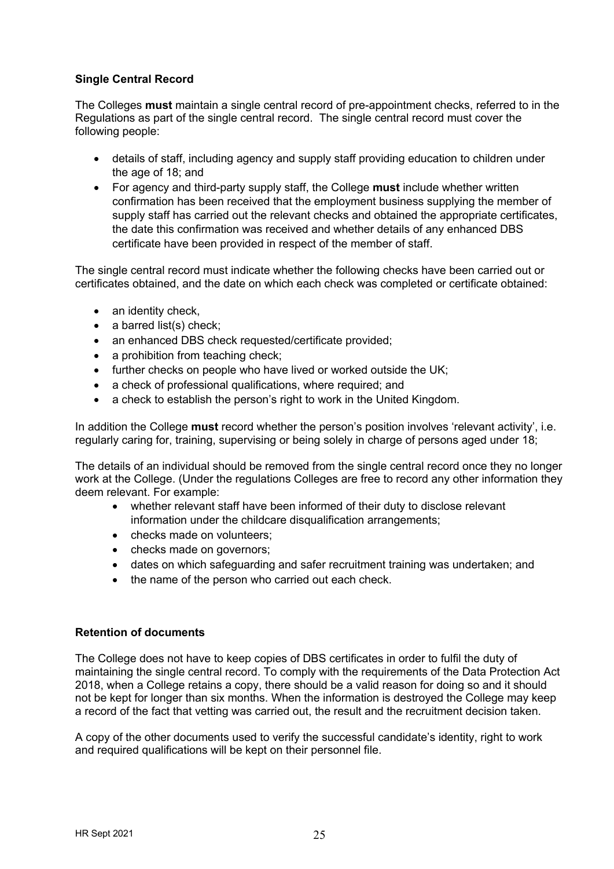## **Single Central Record**

The Colleges **must** maintain a single central record of pre-appointment checks, referred to in the Regulations as part of the single central record. The single central record must cover the following people:

- details of staff, including agency and supply staff providing education to children under the age of 18; and
- For agency and third-party supply staff, the College **must** include whether written confirmation has been received that the employment business supplying the member of supply staff has carried out the relevant checks and obtained the appropriate certificates, the date this confirmation was received and whether details of any enhanced DBS certificate have been provided in respect of the member of staff.

The single central record must indicate whether the following checks have been carried out or certificates obtained, and the date on which each check was completed or certificate obtained:

- an identity check,
- a barred list(s) check;
- an enhanced DBS check requested/certificate provided;
- a prohibition from teaching check;
- further checks on people who have lived or worked outside the UK:
- a check of professional qualifications, where required; and
- a check to establish the person's right to work in the United Kingdom.

In addition the College **must** record whether the person's position involves 'relevant activity', i.e. regularly caring for, training, supervising or being solely in charge of persons aged under 18;

The details of an individual should be removed from the single central record once they no longer work at the College. (Under the regulations Colleges are free to record any other information they deem relevant. For example:

- whether relevant staff have been informed of their duty to disclose relevant information under the childcare disqualification arrangements:
- checks made on volunteers;
- checks made on governors:
- dates on which safeguarding and safer recruitment training was undertaken; and
- the name of the person who carried out each check.

#### **Retention of documents**

The College does not have to keep copies of DBS certificates in order to fulfil the duty of maintaining the single central record. To comply with the requirements of the Data Protection Act 2018, when a College retains a copy, there should be a valid reason for doing so and it should not be kept for longer than six months. When the information is destroyed the College may keep a record of the fact that vetting was carried out, the result and the recruitment decision taken.

A copy of the other documents used to verify the successful candidate's identity, right to work and required qualifications will be kept on their personnel file.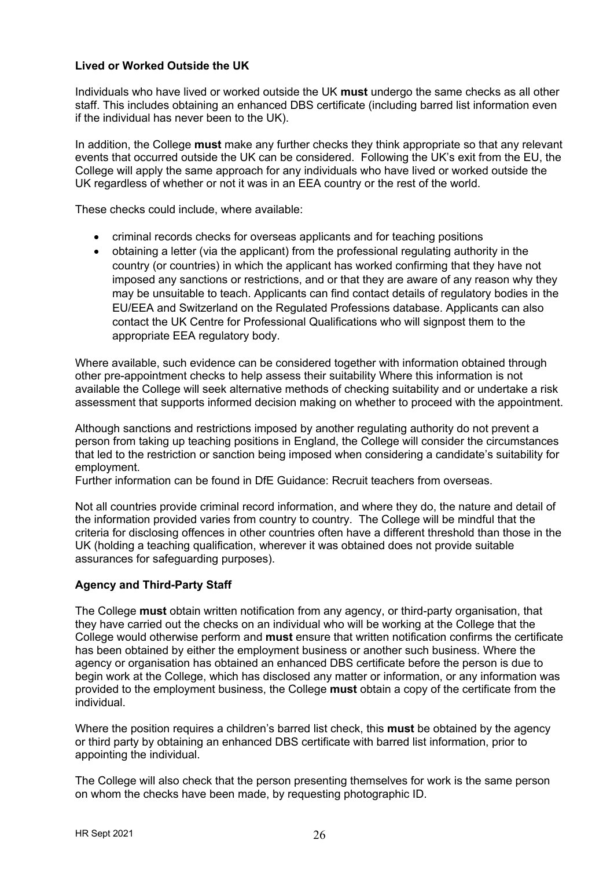## **Lived or Worked Outside the UK**

Individuals who have lived or worked outside the UK **must** undergo the same checks as all other staff. This includes obtaining an enhanced DBS certificate (including barred list information even if the individual has never been to the UK).

In addition, the College **must** make any further checks they think appropriate so that any relevant events that occurred outside the UK can be considered. Following the UK's exit from the EU, the College will apply the same approach for any individuals who have lived or worked outside the UK regardless of whether or not it was in an EEA country or the rest of the world.

These checks could include, where available:

- criminal records checks for overseas applicants and for teaching positions
- obtaining a letter (via the applicant) from the professional regulating authority in the country (or countries) in which the applicant has worked confirming that they have not imposed any sanctions or restrictions, and or that they are aware of any reason why they may be unsuitable to teach. Applicants can find contact details of regulatory bodies in the EU/EEA and Switzerland on the Regulated Professions database. Applicants can also contact the UK Centre for Professional Qualifications who will signpost them to the appropriate EEA regulatory body.

Where available, such evidence can be considered together with information obtained through other pre-appointment checks to help assess their suitability Where this information is not available the College will seek alternative methods of checking suitability and or undertake a risk assessment that supports informed decision making on whether to proceed with the appointment.

Although sanctions and restrictions imposed by another regulating authority do not prevent a person from taking up teaching positions in England, the College will consider the circumstances that led to the restriction or sanction being imposed when considering a candidate's suitability for employment.

Further information can be found in DfE Guidance: Recruit teachers from overseas.

Not all countries provide criminal record information, and where they do, the nature and detail of the information provided varies from country to country. The College will be mindful that the criteria for disclosing offences in other countries often have a different threshold than those in the UK (holding a teaching qualification, wherever it was obtained does not provide suitable assurances for safeguarding purposes).

#### **Agency and Third-Party Staff**

The College **must** obtain written notification from any agency, or third-party organisation, that they have carried out the checks on an individual who will be working at the College that the College would otherwise perform and **must** ensure that written notification confirms the certificate has been obtained by either the employment business or another such business. Where the agency or organisation has obtained an enhanced DBS certificate before the person is due to begin work at the College, which has disclosed any matter or information, or any information was provided to the employment business, the College **must** obtain a copy of the certificate from the individual.

Where the position requires a children's barred list check, this **must** be obtained by the agency or third party by obtaining an enhanced DBS certificate with barred list information, prior to appointing the individual.

The College will also check that the person presenting themselves for work is the same person on whom the checks have been made, by requesting photographic ID.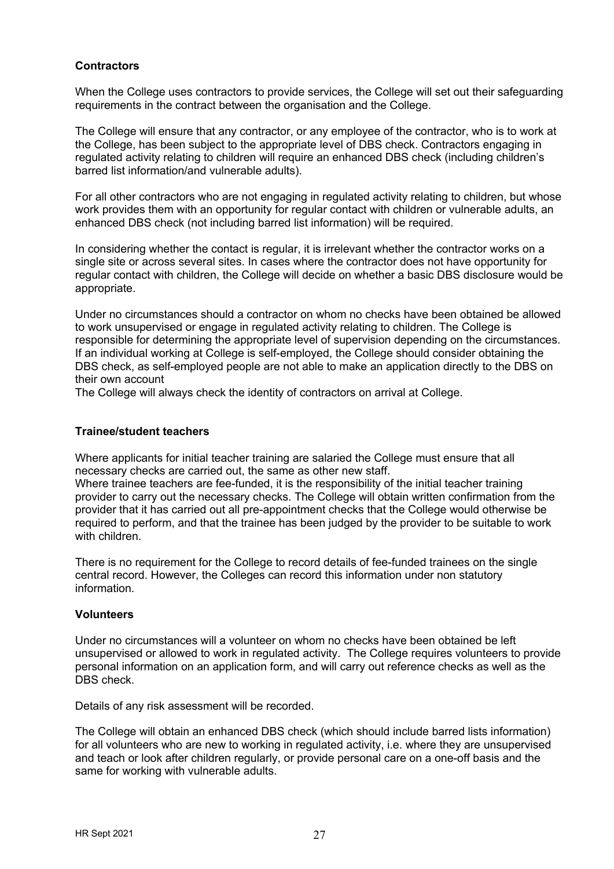#### **Contractors**

When the College uses contractors to provide services, the College will set out their safeguarding requirements in the contract between the organisation and the College.

The College will ensure that any contractor, or any employee of the contractor, who is to work at the College, has been subject to the appropriate level of DBS check. Contractors engaging in regulated activity relating to children will require an enhanced DBS check (including children's barred list information/and vulnerable adults).

For all other contractors who are not engaging in regulated activity relating to children, but whose work provides them with an opportunity for regular contact with children or vulnerable adults, an enhanced DBS check (not including barred list information) will be required.

In considering whether the contact is regular, it is irrelevant whether the contractor works on a single site or across several sites. In cases where the contractor does not have opportunity for regular contact with children, the College will decide on whether a basic DBS disclosure would be appropriate.

Under no circumstances should a contractor on whom no checks have been obtained be allowed to work unsupervised or engage in regulated activity relating to children. The College is responsible for determining the appropriate level of supervision depending on the circumstances. If an individual working at College is self-employed, the College should consider obtaining the DBS check, as self-employed people are not able to make an application directly to the DBS on their own account

The College will always check the identity of contractors on arrival at College.

#### **Trainee/student teachers**

Where applicants for initial teacher training are salaried the College must ensure that all necessary checks are carried out, the same as other new staff.

Where trainee teachers are fee-funded, it is the responsibility of the initial teacher training provider to carry out the necessary checks. The College will obtain written confirmation from the provider that it has carried out all pre-appointment checks that the College would otherwise be required to perform, and that the trainee has been judged by the provider to be suitable to work with children.

There is no requirement for the College to record details of fee-funded trainees on the single central record. However, the Colleges can record this information under non statutory information.

#### **Volunteers**

Under no circumstances will a volunteer on whom no checks have been obtained be left unsupervised or allowed to work in regulated activity. The College requires volunteers to provide personal information on an application form, and will carry out reference checks as well as the DBS check.

Details of any risk assessment will be recorded.

The College will obtain an enhanced DBS check (which should include barred lists information) for all volunteers who are new to working in regulated activity, i.e. where they are unsupervised and teach or look after children regularly, or provide personal care on a one-off basis and the same for working with vulnerable adults.